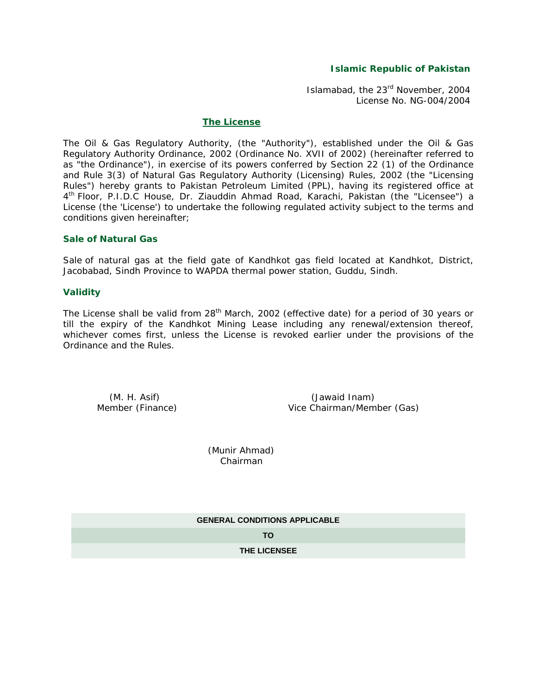### **Islamic Republic of Pakistan**

Islamabad, the 23rd November, 2004 License No. NG-004/2004

#### **The License**

The Oil & Gas Regulatory Authority, (the "Authority"), established under the Oil & Gas Regulatory Authority Ordinance, 2002 (Ordinance No. XVII of 2002) (hereinafter referred to as "the Ordinance"), in exercise of its powers conferred by Section 22 (1) of the Ordinance and Rule 3(3) of Natural Gas Regulatory Authority (Licensing) Rules, 2002 (the "Licensing Rules") hereby grants to Pakistan Petroleum Limited (PPL), having its registered office at 4th Floor, P.I.D.C House, Dr. Ziauddin Ahmad Road, Karachi, Pakistan (the "Licensee") a License (the 'License') to undertake the following regulated activity subject to the terms and conditions given hereinafter;

### **Sale of Natural Gas**

Sale of natural gas at the field gate of Kandhkot gas field located at Kandhkot, District, Jacobabad, Sindh Province to WAPDA thermal power station, Guddu, Sindh.

### **Validity**

The License shall be valid from 28<sup>th</sup> March, 2002 (effective date) for a period of 30 years or till the expiry of the Kandhkot Mining Lease including any renewal/extension thereof, whichever comes first, unless the License is revoked earlier under the provisions of the Ordinance and the Rules.

 (M. H. Asif) (Jawaid Inam) Member (Finance) Vice Chairman/Member (Gas)

> (Munir Ahmad) Chairman

**GENERAL CONDITIONS APPLICABLE**

**TO**

**THE LICENSEE**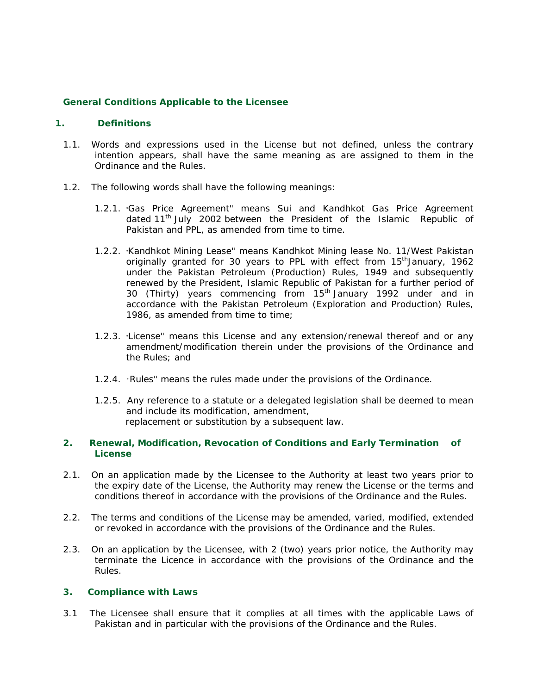### **General Conditions Applicable to the Licensee**

### **1. Definitions**

- 1.1. Words and expressions used in the License but not defined, unless the contrary intention appears, shall have the same meaning as are assigned to them in the Ordinance and the Rules.
- 1.2. The following words shall have the following meanings:
	- 1.2.1. "Gas Price Agreement" means Sui and Kandhkot Gas Price Agreement dated  $11<sup>th</sup>$  July 2002 between the President of the Islamic Republic of Pakistan and PPL, as amended from time to time.
	- 1.2.2. "Kandhkot Mining Lease" means Kandhkot Mining lease No. 11/West Pakistan originally granted for 30 years to PPL with effect from 15<sup>th</sup>January, 1962 under the Pakistan Petroleum (Production) Rules, 1949 and subsequently renewed by the President, Islamic Republic of Pakistan for a further period of 30 (Thirty) years commencing from 15<sup>th</sup> January 1992 under and in accordance with the Pakistan Petroleum (Exploration and Production) Rules, 1986, as amended from time to time;
	- 1.2.3. "License" means this License and any extension/renewal thereof and or any amendment/modification therein under the provisions of the Ordinance and the Rules; and
	- 1.2.4. "Rules" means the rules made under the provisions of the Ordinance.
	- 1.2.5. Any reference to a statute or a delegated legislation shall be deemed to mean and include its modification, amendment, replacement or substitution by a subsequent law.

### **2. Renewal, Modification, Revocation of Conditions and Early Termination of License**

- 2.1. On an application made by the Licensee to the Authority at least two years prior to the expiry date of the License, the Authority may renew the License or the terms and conditions thereof in accordance with the provisions of the Ordinance and the Rules.
- 2.2. The terms and conditions of the License may be amended, varied, modified, extended or revoked in accordance with the provisions of the Ordinance and the Rules.
- 2.3. On an application by the Licensee, with 2 (two) years prior notice, the Authority may terminate the Licence in accordance with the provisions of the Ordinance and the Rules.

### **3. Compliance with Laws**

3.1 The Licensee shall ensure that it complies at all times with the applicable Laws of Pakistan and in particular with the provisions of the Ordinance and the Rules.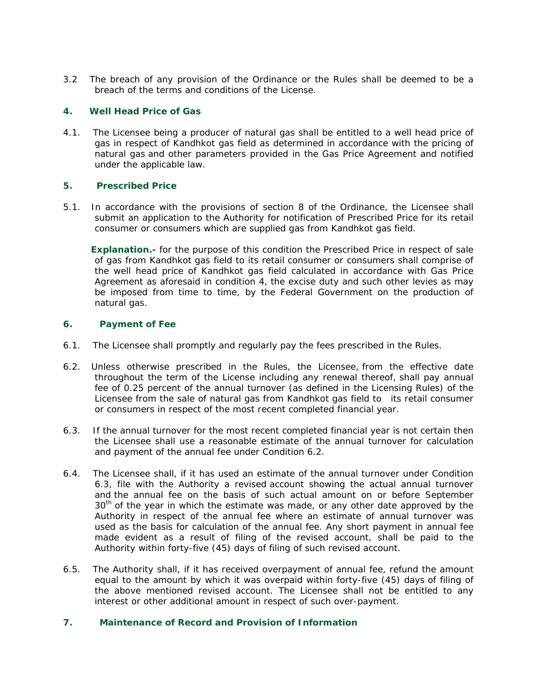3.2 The breach of any provision of the Ordinance or the Rules shall be deemed to be a breach of the terms and conditions of the License.

## **4. Well Head Price of Gas**

4.1. The Licensee being a producer of natural gas shall be entitled to a well head price of gas in respect of Kandhkot gas field as determined in accordance with the pricing of natural gas and other parameters provided in the Gas Price Agreement and notified under the applicable law.

## **5. Prescribed Price**

5.1. In accordance with the provisions of section 8 of the Ordinance, the Licensee shall submit an application to the Authority for notification of Prescribed Price for its retail consumer or consumers which are supplied gas from Kandhkot gas field.

 **Explanation.-** for the purpose of this condition the Prescribed Price in respect of sale of gas from Kandhkot gas field to its retail consumer or consumers shall comprise of the well head price of Kandhkot gas field calculated in accordance with Gas Price Agreement as aforesaid in condition 4, the excise duty and such other levies as may be imposed from time to time, by the Federal Government on the production of natural gas.

### **6. Payment of Fee**

- 6.1. The Licensee shall promptly and regularly pay the fees prescribed in the Rules.
- 6.2. Unless otherwise prescribed in the Rules, the Licensee, from the effective date throughout the term of the License including any renewal thereof, shall pay annual fee of 0.25 percent of the annual turnover (as defined in the Licensing Rules) of the Licensee from the sale of natural gas from Kandhkot gas field to its retail consumer or consumers in respect of the most recent completed financial year.
- 6.3. If the annual turnover for the most recent completed financial year is not certain then the Licensee shall use a reasonable estimate of the annual turnover for calculation and payment of the annual fee under Condition 6.2.
- 6.4. The Licensee shall, if it has used an estimate of the annual turnover under Condition 6.3, file with the Authority a revised account showing the actual annual turnover and the annual fee on the basis of such actual amount on or before September  $30<sup>th</sup>$  of the year in which the estimate was made, or any other date approved by the Authority in respect of the annual fee where an estimate of annual turnover was used as the basis for calculation of the annual fee. Any short payment in annual fee made evident as a result of filing of the revised account, shall be paid to the Authority within forty-five (45) days of filing of such revised account.
- 6.5. The Authority shall, if it has received overpayment of annual fee, refund the amount equal to the amount by which it was overpaid within forty-five (45) days of filing of the above mentioned revised account. The Licensee shall not be entitled to any interest or other additional amount in respect of such over-payment.

### **7. Maintenance of Record and Provision of Information**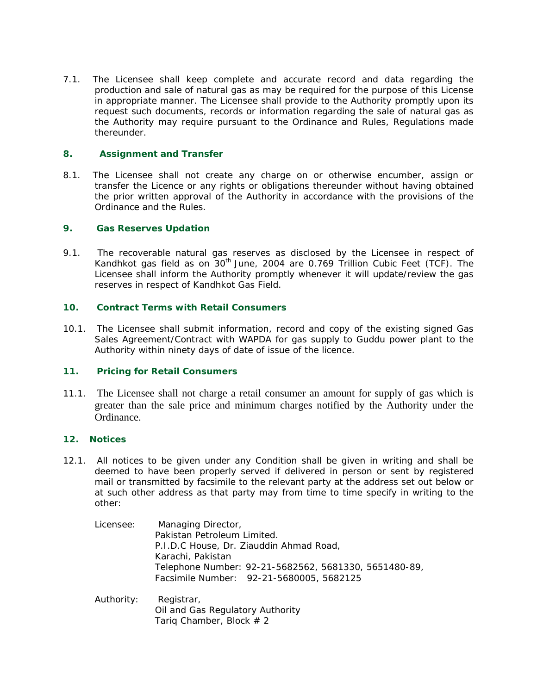7.1. The Licensee shall keep complete and accurate record and data regarding the production and sale of natural gas as may be required for the purpose of this License in appropriate manner. The Licensee shall provide to the Authority promptly upon its request such documents, records or information regarding the sale of natural gas as the Authority may require pursuant to the Ordinance and Rules, Regulations made thereunder.

# **8. Assignment and Transfer**

8.1. The Licensee shall not create any charge on or otherwise encumber, assign or transfer the Licence or any rights or obligations thereunder without having obtained the prior written approval of the Authority in accordance with the provisions of the Ordinance and the Rules.

## **9. Gas Reserves Updation**

9.1. The recoverable natural gas reserves as disclosed by the Licensee in respect of Kandhkot gas field as on  $30<sup>th</sup>$  June, 2004 are 0.769 Trillion Cubic Feet (TCF). The Licensee shall inform the Authority promptly whenever it will update/review the gas reserves in respect of Kandhkot Gas Field.

## **10. Contract Terms with Retail Consumers**

10.1. The Licensee shall submit information, record and copy of the existing signed Gas Sales Agreement/Contract with WAPDA for gas supply to Guddu power plant to the Authority within ninety days of date of issue of the licence.

# **11. Pricing for Retail Consumers**

11.1. The Licensee shall not charge a retail consumer an amount for supply of gas which is greater than the sale price and minimum charges notified by the Authority under the Ordinance.

# **12. Notices**

- 12.1. All notices to be given under any Condition shall be given in writing and shall be deemed to have been properly served if delivered in person or sent by registered mail or transmitted by facsimile to the relevant party at the address set out below or at such other address as that party may from time to time specify in writing to the other:
	- Licensee: Managing Director, Pakistan Petroleum Limited. P.I.D.C House, Dr. Ziauddin Ahmad Road, Karachi, Pakistan Telephone Number: 92-21-5682562, 5681330, 5651480-89, Facsimile Number: 92-21-5680005, 5682125
	- Authority: Registrar, Oil and Gas Regulatory Authority Tariq Chamber, Block  $# 2$